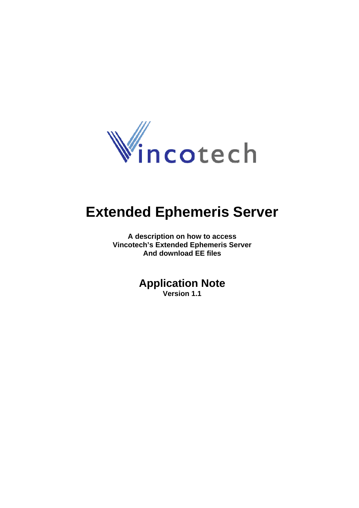

# **Extended Ephemeris Server**

**A description on how to access Vincotech's Extended Ephemeris Server And download EE files** 

# **Application Note**

**Version 1.1**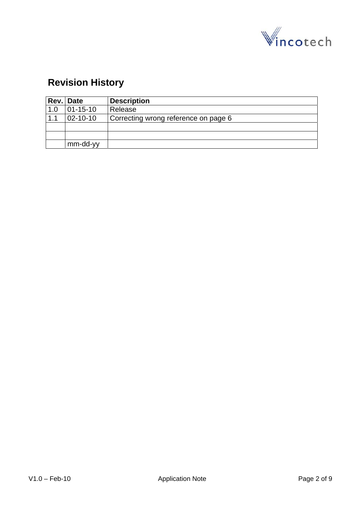

# **Revision History**

|     | Rev. Date        | <b>Description</b>                   |
|-----|------------------|--------------------------------------|
| 1.0 | $ 01 - 15 - 10 $ | Release                              |
| 1.1 | $ 02 - 10 - 10 $ | Correcting wrong reference on page 6 |
|     |                  |                                      |
|     |                  |                                      |
|     | mm-dd-yy         |                                      |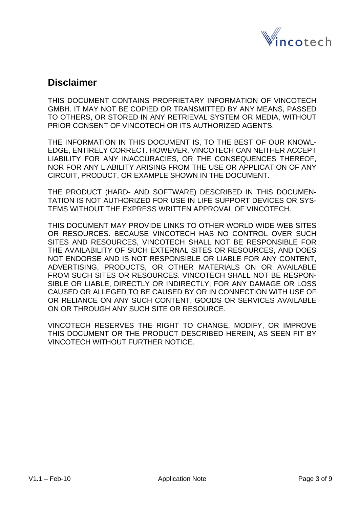

### **Disclaimer**

THIS DOCUMENT CONTAINS PROPRIETARY INFORMATION OF VINCOTECH GMBH. IT MAY NOT BE COPIED OR TRANSMITTED BY ANY MEANS, PASSED TO OTHERS, OR STORED IN ANY RETRIEVAL SYSTEM OR MEDIA, WITHOUT PRIOR CONSENT OF VINCOTECH OR ITS AUTHORIZED AGENTS.

THE INFORMATION IN THIS DOCUMENT IS, TO THE BEST OF OUR KNOWL-EDGE, ENTIRELY CORRECT. HOWEVER, VINCOTECH CAN NEITHER ACCEPT LIABILITY FOR ANY INACCURACIES, OR THE CONSEQUENCES THEREOF, NOR FOR ANY LIABILITY ARISING FROM THE USE OR APPLICATION OF ANY CIRCUIT, PRODUCT, OR EXAMPLE SHOWN IN THE DOCUMENT.

THE PRODUCT (HARD- AND SOFTWARE) DESCRIBED IN THIS DOCUMEN-TATION IS NOT AUTHORIZED FOR USE IN LIFE SUPPORT DEVICES OR SYS-TEMS WITHOUT THE EXPRESS WRITTEN APPROVAL OF VINCOTECH.

THIS DOCUMENT MAY PROVIDE LINKS TO OTHER WORLD WIDE WEB SITES OR RESOURCES. BECAUSE VINCOTECH HAS NO CONTROL OVER SUCH SITES AND RESOURCES, VINCOTECH SHALL NOT BE RESPONSIBLE FOR THE AVAILABILITY OF SUCH EXTERNAL SITES OR RESOURCES, AND DOES NOT ENDORSE AND IS NOT RESPONSIBLE OR LIABLE FOR ANY CONTENT, ADVERTISING, PRODUCTS, OR OTHER MATERIALS ON OR AVAILABLE FROM SUCH SITES OR RESOURCES. VINCOTECH SHALL NOT BE RESPON-SIBLE OR LIABLE, DIRECTLY OR INDIRECTLY, FOR ANY DAMAGE OR LOSS CAUSED OR ALLEGED TO BE CAUSED BY OR IN CONNECTION WITH USE OF OR RELIANCE ON ANY SUCH CONTENT, GOODS OR SERVICES AVAILABLE ON OR THROUGH ANY SUCH SITE OR RESOURCE.

VINCOTECH RESERVES THE RIGHT TO CHANGE, MODIFY, OR IMPROVE THIS DOCUMENT OR THE PRODUCT DESCRIBED HEREIN, AS SEEN FIT BY VINCOTECH WITHOUT FURTHER NOTICE.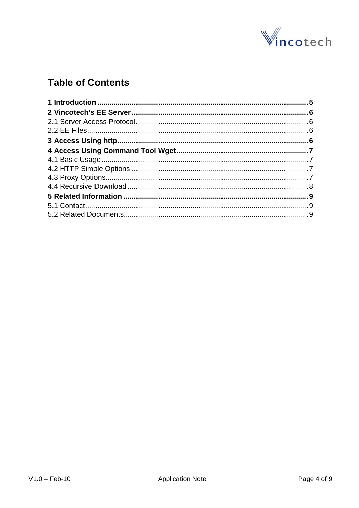

# **Table of Contents**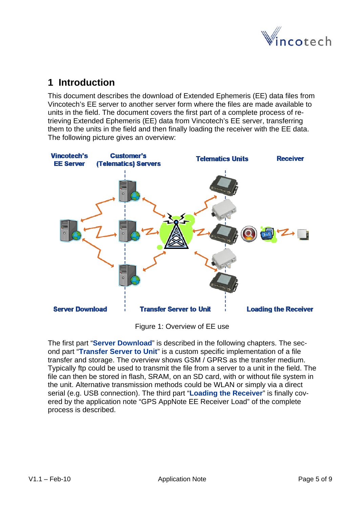

# <span id="page-4-0"></span>**1 Introduction**

This document describes the download of Extended Ephemeris (EE) data files from Vincotech's EE server to another server form where the files are made available to units in the field. The document covers the first part of a complete process of retrieving Extended Ephemeris (EE) data from Vincotech's EE server, transferring them to the units in the field and then finally loading the receiver with the EE data. The following picture gives an overview:



Figure 1: Overview of EE use

The first part "**Server Download**" is described in the following chapters. The second part "**Transfer Server to Unit**" is a custom specific implementation of a file transfer and storage. The overview shows GSM / GPRS as the transfer medium. Typically ftp could be used to transmit the file from a server to a unit in the field. The file can then be stored in flash, SRAM, on an SD card, with or without file system in the unit. Alternative transmission methods could be WLAN or simply via a direct serial (e.g. USB connection). The third part "**Loading the Receiver**" is finally covered by the application note "GPS AppNote EE Receiver Load" of the complete process is described.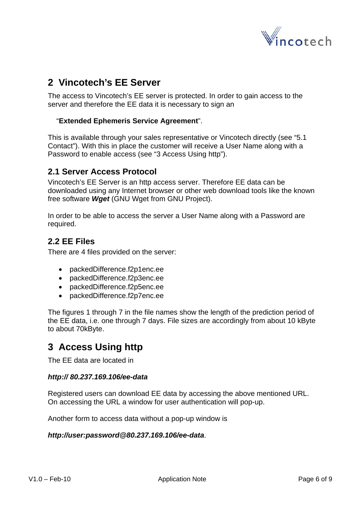

# <span id="page-5-0"></span>**2 Vincotech's EE Server**

The access to Vincotech's EE server is protected. In order to gain access to the server and therefore the EE data it is necessary to sign an

#### "**Extended Ephemeris Service Agreement**".

This is available through your sales representative or Vincotech directly (see "[5.1](#page-8-0) [Contact"](#page-8-0)). With this in place the customer will receive a User Name along with a Password to enable access (see ["3 Access Using http"](#page-5-0)).

### **2.1 Server Access Protocol**

Vincotech's EE Server is an http access server. Therefore EE data can be downloaded using any Internet browser or other web download tools like the known free software *Wget* (GNU Wget from GNU Project).

In order to be able to access the server a User Name along with a Password are required.

### **2.2 EE Files**

There are 4 files provided on the server:

- packedDifference.f2p1enc.ee
- packedDifference.f2p3enc.ee
- packedDifference.f2p5enc.ee
- packedDifference.f2p7enc.ee

The figures 1 through 7 in the file names show the length of the prediction period of the EE data, i.e. one through 7 days. File sizes are accordingly from about 10 kByte to about 70kByte.

## **3 Access Using http**

The EE data are located in

#### *http:// 80.237.169.106/ee-data*

Registered users can download EE data by accessing the above mentioned URL. On accessing the URL a window for user authentication will pop-up.

Another form to access data without a pop-up window is

#### *http://user:password@80.237.169.106/ee-data*.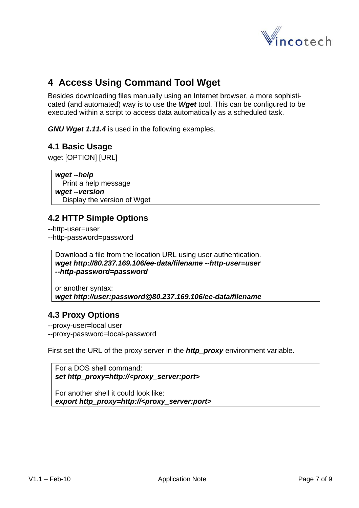

# <span id="page-6-0"></span>**4 Access Using Command Tool Wget**

Besides downloading files manually using an Internet browser, a more sophisticated (and automated) way is to use the *Wget* tool. This can be configured to be executed within a script to access data automatically as a scheduled task.

*GNU Wget 1.11.4* is used in the following examples.

### **4.1 Basic Usage**

wget [OPTION] [URL]

*wget --help* Print a help message *wget --version* Display the version of Wget

### **4.2 HTTP Simple Options**

--http-user=user --http-password=password

Download a file from the location URL using user authentication. *wget http://80.237.169.106/ee-data/filename --http-user=user --http-password=password* 

or another syntax: *wget http://user:password@80.237.169.106/ee-data/filename*

### **4.3 Proxy Options**

--proxy-user=local user --proxy-password=local-password

First set the URL of the proxy server in the **http\_proxy** environment variable.

```
For a DOS shell command: 
set http_proxy=http://<proxy_server:port>
```
For another shell it could look like: *export http\_proxy=http://<proxy\_server:port>*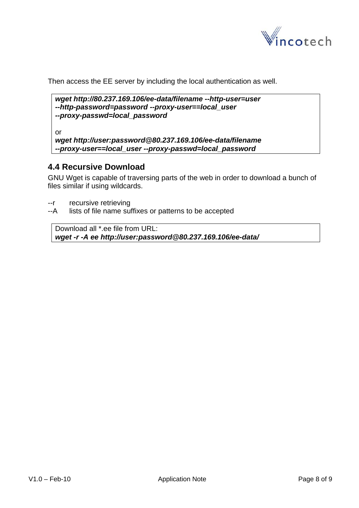

<span id="page-7-0"></span>Then access the EE server by including the local authentication as well.

```
wget http://80.237.169.106/ee-data/filename --http-user=user 
--http-password=password --proxy-user==local_user 
--proxy-passwd=local_password
```
or

```
wget http://user:password@80.237.169.106/ee-data/filename 
--proxy-user==local_user --proxy-passwd=local_password
```
### **4.4 Recursive Download**

GNU Wget is capable of traversing parts of the web in order to download a bunch of files similar if using wildcards.

- --r recursive retrieving
- --A lists of file name suffixes or patterns to be accepted

Download all \*.ee file from URL: *wget -r -A ee http://user:password@80.237.169.106/ee-data/*